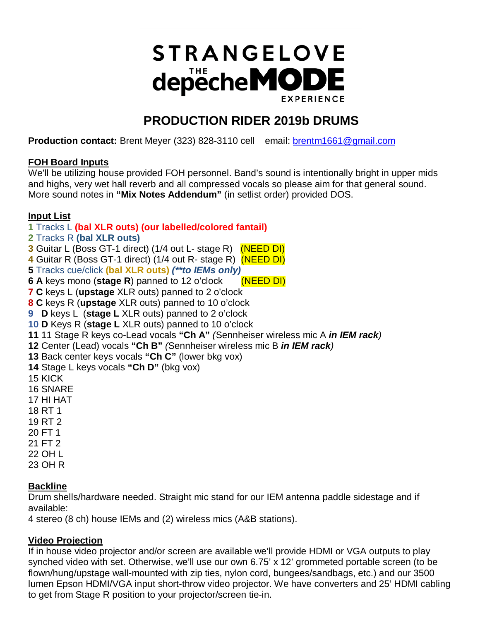# **STRANGELOVE** depecheMODE **EXPERIENCE**

# **PRODUCTION RIDER 2019b DRUMS**

**Production contact:** Brent Meyer (323) 828-3110 cellemail: [brentm1661@gmail.com](mailto:brentm1661@gmail.com) 

## **FOH Board Inputs**

We'll be utilizing house provided FOH personnel. Band's sound is intentionally bright in upper mids and highs, very wet hall reverb and all compressed vocals so please aim for that general sound. More sound notes in **"Mix Notes Addendum"** (in setlist order) provided DOS.

# **Input List**

# **1** Tracks L **(bal XLR outs) (our labelled/colored fantail)**

- **2** Tracks R **(bal XLR outs)**
- **3** Guitar L (Boss GT-1 direct) (1/4 out L- stage R) (NEED DI)
- **4** Guitar R (Boss GT-1 direct) (1/4 out R- stage R) (NEED DI)
- **5** Tracks cue/click **(bal XLR outs)** *(\*\*to IEMs only)*
- **6 A** keys mono (**stage R**) panned to 12 o'clock (NEED DI)
- **7 C** keys L (**upstage** XLR outs) panned to 2 o'clock
- **8 C** keys R (**upstage** XLR outs) panned to 10 o'clock
- **9 D** keys L (**stage L** XLR outs) panned to 2 o'clock
- **10 D** Keys R (**stage L** XLR outs) panned to 10 o'clock
- **11** 11 Stage R keys co-Lead vocals **"Ch A"** *(*Sennheiser wireless mic A *in IEM rack)*
- **12** Center (Lead) vocals **"Ch B"** *(*Sennheiser wireless mic B *in IEM rack)*
- **13** Back center keys vocals **"Ch C"** (lower bkg vox)
- **14** Stage L keys vocals **"Ch D"** (bkg vox)
- 15 KICK
- 16 SNARE
- 17 HI HAT
- 18 RT 1
- 19 RT 2
- 20 FT 1
- 21 FT 2
- 22 OH L
- 23 OH R

# **Backline**

Drum shells/hardware needed. Straight mic stand for our IEM antenna paddle sidestage and if available:

4 stereo (8 ch) house IEMs and (2) wireless mics (A&B stations).

# **Video Projection**

If in house video projector and/or screen are available we'll provide HDMI or VGA outputs to play synched video with set. Otherwise, we'll use our own 6.75' x 12' grommeted portable screen (to be flown/hung/upstage wall-mounted with zip ties, nylon cord, bungees/sandbags, etc.) and our 3500 lumen Epson HDMI/VGA input short-throw video projector. We have converters and 25' HDMI cabling to get from Stage R position to your projector/screen tie-in.